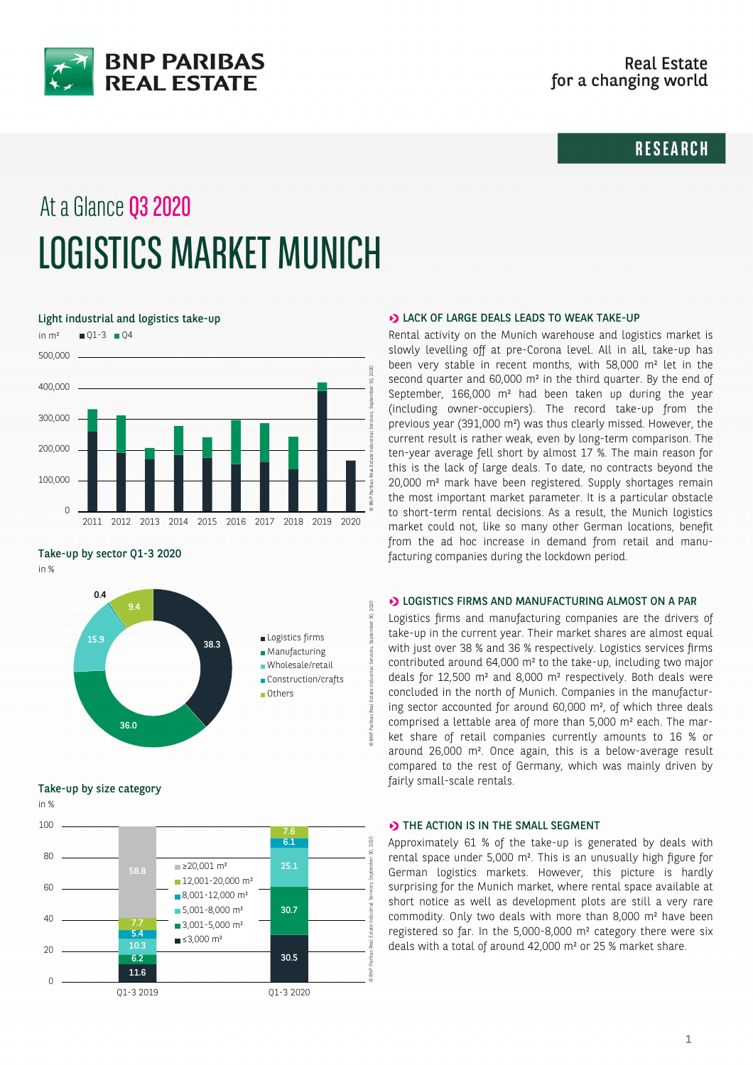

# **RESEARCH**

# At a Glance Q3 2020 LOGISTICS MARKET MUNICH

Light industrial and logistics take-up



Take-up by sector Q1-3 2020

in %



Take-up by size category



#### **D** LACK OF LARGE DEALS LEADS TO WEAK TAKE-UP

Rental activity on the Munich warehouse and logistics market is slowly levelling off at pre-Corona level. All in all, take-up has been very stable in recent months, with 58,000 m² let in the second quarter and 60,000 m² in the third quarter. By the end of September, 166,000 m² had been taken up during the year (including owner-occupiers). The record take-up from the previous year (391,000 m²) was thus clearly missed. However, the current result is rather weak, even by long-term comparison. The ten-year average fell short by almost 17 %. The main reason for this is the lack of large deals. To date, no contracts beyond the 20,000 m² mark have been registered. Supply shortages remain the most important market parameter. It is a particular obstacle to short-term rental decisions. As a result, the Munich logistics market could not, like so many other German locations, benefit from the ad hoc increase in demand from retail and manufacturing companies during the lockdown period.

## **D** LOGISTICS FIRMS AND MANUFACTURING ALMOST ON A PAR

Logistics firms and manufacturing companies are the drivers of take-up in the current year. Their market shares are almost equal with just over 38 % and 36 % respectively. Logistics services firms contributed around 64,000 m² to the take-up, including two major deals for 12,500 m² and 8,000 m² respectively. Both deals were concluded in the north of Munich. Companies in the manufacturing sector accounted for around 60,000 m², of which three deals comprised a lettable area of more than 5,000 m² each. The market share of retail companies currently amounts to 16 % or around 26,000 m². Once again, this is a below-average result compared to the rest of Germany, which was mainly driven by fairly small-scale rentals.

#### THE ACTION IS IN THE SMALL SEGMENT

Approximately 61 % of the take-up is generated by deals with rental space under 5,000 m². This is an unusually high figure for German logistics markets. However, this picture is hardly surprising for the Munich market, where rental space available at short notice as well as development plots are still a very rare commodity. Only two deals with more than 8,000 m² have been registered so far. In the 5,000-8,000 m² category there were six deals with a total of around 42,000 m² or 25 % market share.